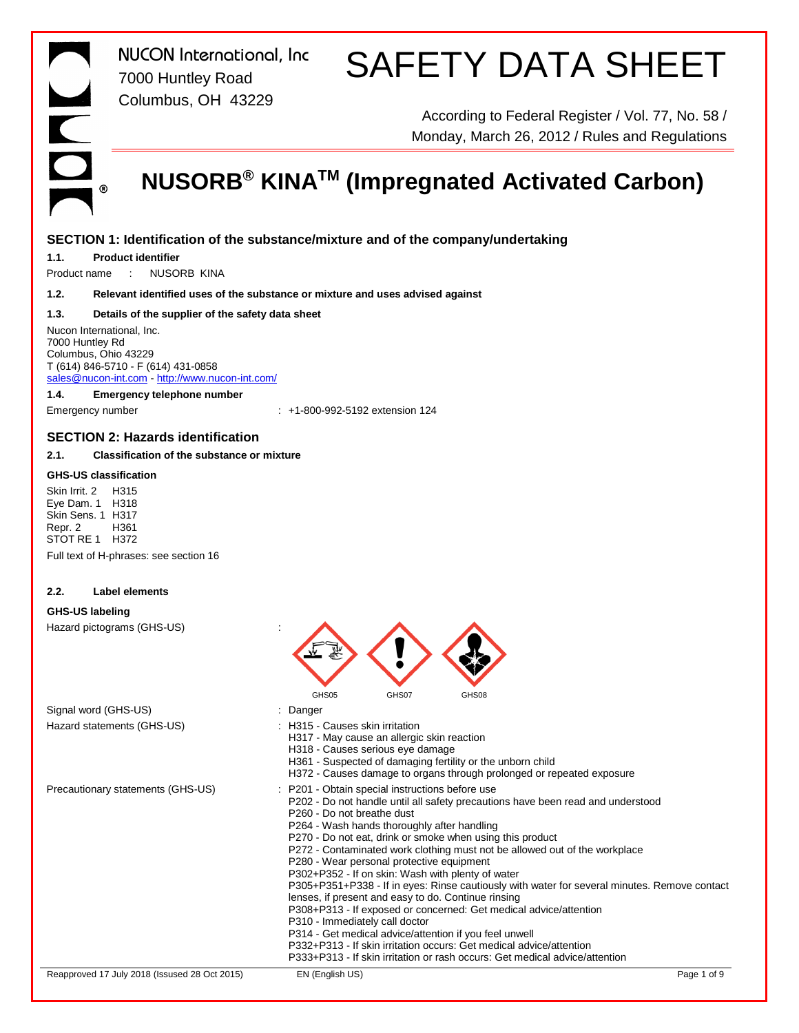### SAFETY DATA SHEET

According to Federal Register / Vol. 77, No. 58 / Monday, March 26, 2012 / Rules and Regulations

### **NUSORB® KINATM (Impregnated Activated Carbon)**

### **SECTION 1: Identification of the substance/mixture and of the company/undertaking**

**1.1. Product identifier**

Product name : NUSORB KINA

**1.2. Relevant identified uses of the substance or mixture and uses advised against**

### **1.3. Details of the supplier of the safety data sheet**

Nucon International, Inc. 7000 Huntley Rd Columbus, Ohio 43229 T (614) 846-5710 - F (614) 431-0858 sales@nucon-int.com - http://www.nucon-int.com/

**1.4. Emergency telephone number**

Emergency number : +1-800-992-5192 extension 124

### **SECTION 2: Hazards identification**

**2.1. Classification of the substance or mixture**

### **GHS-US classification**

Skin Irrit. 2 H315 Eye Dam. 1 H318 Skin Sens. 1 H317 Repr. 2 H361 STOT RE 1 H372

Full text of H-phrases: see section 16

### **2.2. Label elements**

### **GHS-US labeling**

Hazard pictograms (GHS-US) :

|                                               | GHS05                                                                                                                                                                                                                   | GHS07 | GHS08                                                                                                                                                                                                                                                                                                                                                                                                                                                                                                                                                                                                                       |                                                                                              |
|-----------------------------------------------|-------------------------------------------------------------------------------------------------------------------------------------------------------------------------------------------------------------------------|-------|-----------------------------------------------------------------------------------------------------------------------------------------------------------------------------------------------------------------------------------------------------------------------------------------------------------------------------------------------------------------------------------------------------------------------------------------------------------------------------------------------------------------------------------------------------------------------------------------------------------------------------|----------------------------------------------------------------------------------------------|
| Signal word (GHS-US)                          | : Danger                                                                                                                                                                                                                |       |                                                                                                                                                                                                                                                                                                                                                                                                                                                                                                                                                                                                                             |                                                                                              |
| Hazard statements (GHS-US)                    | H315 - Causes skin irritation<br>H317 - May cause an allergic skin reaction<br>H318 - Causes serious eye damage                                                                                                         |       | H361 - Suspected of damaging fertility or the unborn child<br>H372 - Causes damage to organs through prolonged or repeated exposure                                                                                                                                                                                                                                                                                                                                                                                                                                                                                         |                                                                                              |
| Precautionary statements (GHS-US)             | : P201 - Obtain special instructions before use<br>P <sub>260</sub> - Do not breathe dust<br>P264 - Wash hands thoroughly after handling<br>P280 - Wear personal protective equipment<br>P310 - Immediately call doctor |       | P202 - Do not handle until all safety precautions have been read and understood<br>P270 - Do not eat, drink or smoke when using this product<br>P272 - Contaminated work clothing must not be allowed out of the workplace<br>P302+P352 - If on skin: Wash with plenty of water<br>lenses, if present and easy to do. Continue rinsing<br>P308+P313 - If exposed or concerned: Get medical advice/attention<br>P314 - Get medical advice/attention if you feel unwell<br>P332+P313 - If skin irritation occurs: Get medical advice/attention<br>P333+P313 - If skin irritation or rash occurs: Get medical advice/attention | P305+P351+P338 - If in eyes: Rinse cautiously with water for several minutes. Remove contact |
| Reapproved 17 July 2018 (Issused 28 Oct 2015) | EN (English US)                                                                                                                                                                                                         |       |                                                                                                                                                                                                                                                                                                                                                                                                                                                                                                                                                                                                                             | Page 1 of 9                                                                                  |
|                                               |                                                                                                                                                                                                                         |       |                                                                                                                                                                                                                                                                                                                                                                                                                                                                                                                                                                                                                             |                                                                                              |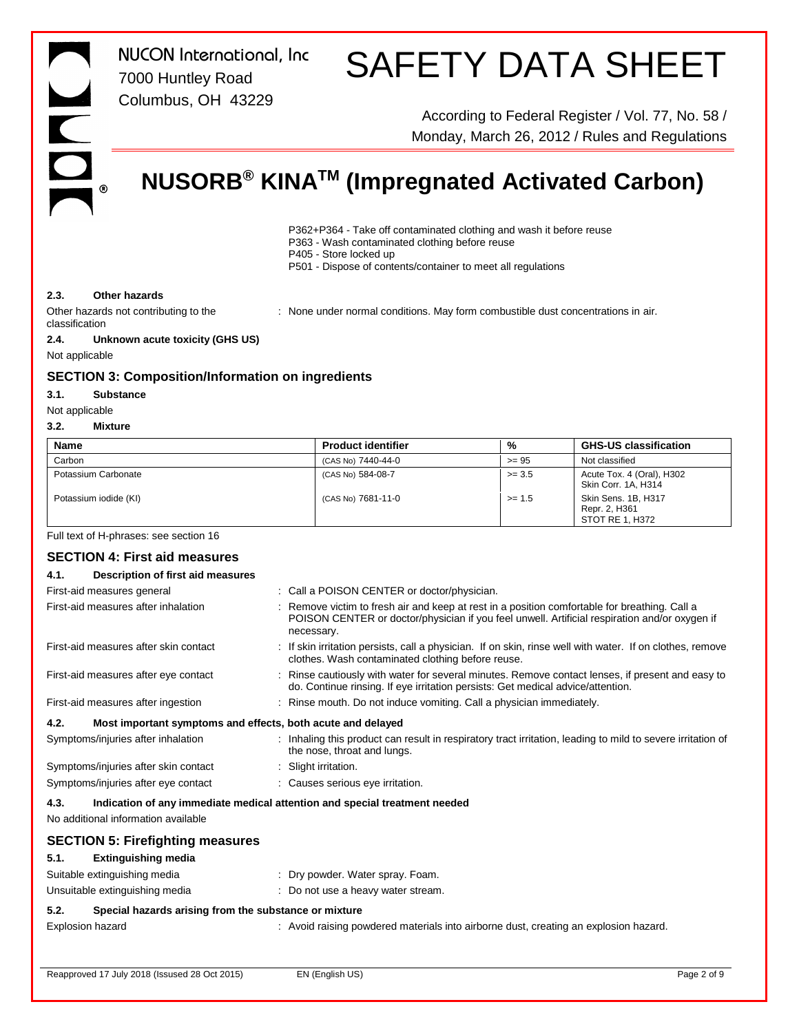# S

SAFETY DATA SHEET

According to Federal Register / Vol. 77, No. 58 / Monday, March 26, 2012 / Rules and Regulations

### **NUSORB® KINATM (Impregnated Activated Carbon)**

- P362+P364 Take off contaminated clothing and wash it before reuse
- P363 Wash contaminated clothing before reuse
- P405 Store locked up
	- P501 Dispose of contents/container to meet all regulations

### **2.3. Other hazards**

Other hazards not contributing to the classification

: None under normal conditions. May form combustible dust concentrations in air.

**2.4. Unknown acute toxicity (GHS US)**

Not applicable

### **SECTION 3: Composition/Information on ingredients**

*NUCON International, Inc*

7000 Huntley Road Columbus, OH 43229

#### **3.1. Substance**

Not applicable

#### **3.2. Mixture**

| <b>Name</b>                               | <b>Product identifier</b>                                                                                   | %        | <b>GHS-US classification</b>                                                                            |
|-------------------------------------------|-------------------------------------------------------------------------------------------------------------|----------|---------------------------------------------------------------------------------------------------------|
| Carbon                                    | (CAS No) 7440-44-0                                                                                          | $>= 95$  | Not classified                                                                                          |
| Potassium Carbonate                       | (CAS No) 584-08-7                                                                                           | $>= 3.5$ | Acute Tox. 4 (Oral), H302<br>Skin Corr. 1A, H314                                                        |
| Potassium iodide (KI)                     | (CAS No) 7681-11-0                                                                                          | $>= 1.5$ | Skin Sens. 1B, H317<br>Repr. 2, H361<br>STOT RE 1, H372                                                 |
| Full text of H-phrases: see section 16    |                                                                                                             |          |                                                                                                         |
| <b>SECTION 4: First aid measures</b>      |                                                                                                             |          |                                                                                                         |
| Description of first aid measures<br>4.1. |                                                                                                             |          |                                                                                                         |
| First-aid measures general                | : Call a POISON CENTER or doctor/physician.                                                                 |          |                                                                                                         |
| First-aid measures after inhalation       | : Remove victim to fresh air and keep at rest in a position comfortable for breathing. Call a<br>necessary. |          | POISON CENTER or doctor/physician if you feel unwell. Artificial respiration and/or oxygen if           |
| First-aid measures after skin contact     | clothes. Wash contaminated clothing before reuse.                                                           |          | If skin irritation persists, call a physician. If on skin, rinse well with water. If on clothes, remove |

First-aid measures after eye contact : Rinse cautiously with water for several minutes. Remove contact lenses, if present and easy to

First-aid measures after ingestion : Rinse mouth. Do not induce vomiting. Call a physician immediately.

### **4.2. Most important symptoms and effects, both acute and delayed**

| Symptoms/injuries after inhalation   | Inhaling this product can result in respiratory tract irritation, leading to mild to severe irritation of<br>the nose, throat and lungs. |
|--------------------------------------|------------------------------------------------------------------------------------------------------------------------------------------|
| Symptoms/injuries after skin contact | Slight irritation.                                                                                                                       |
|                                      |                                                                                                                                          |

### Symptoms/injuries after eye contact : Causes serious eye irritation.

**4.3. Indication of any immediate medical attention and special treatment needed**

No additional information available

### **SECTION 5: Firefighting measures**

### **5.1. Extinguishing media**

Suitable extinguishing media **interpretent of the Control**: Dry powder. Water spray. Foam.

| Unsuitable extinguishing media | : Do not use a heavy water stream. |
|--------------------------------|------------------------------------|
|--------------------------------|------------------------------------|

### **5.2. Special hazards arising from the substance or mixture**

Explosion hazard **into a construct in the Construct** of Avoid raising powdered materials into airborne dust, creating an explosion hazard.

do. Continue rinsing. If eye irritation persists: Get medical advice/attention.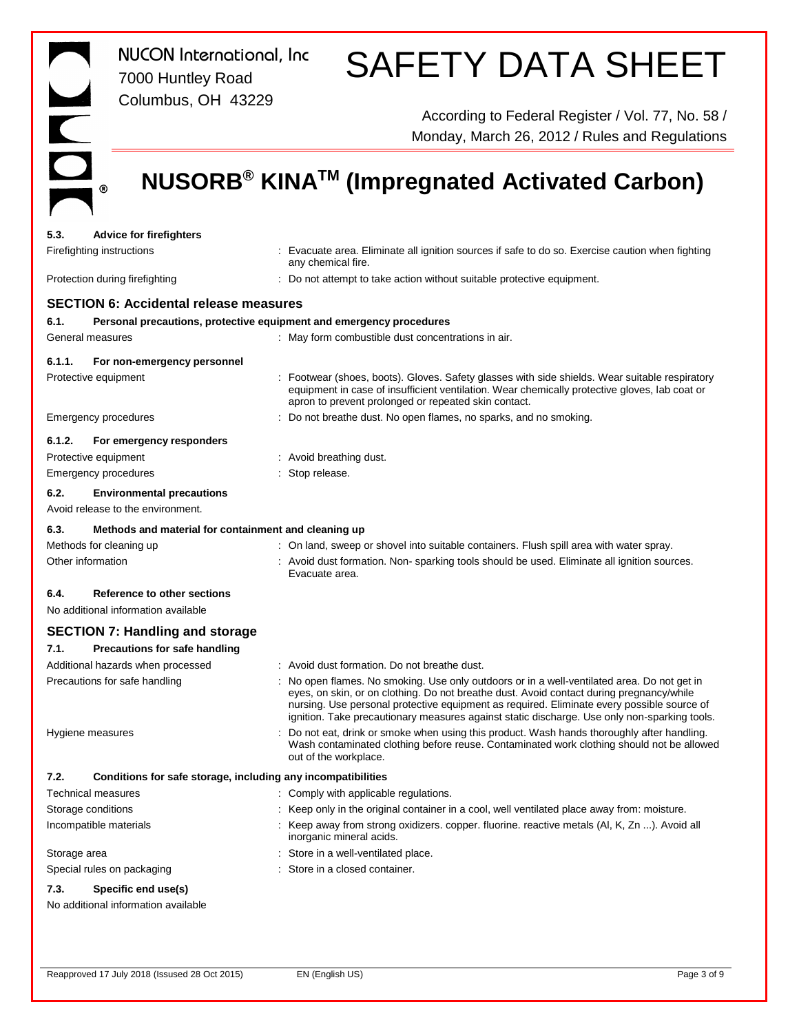IDNU  $^\circledR$ 

*NUCON International, Inc* 7000 Huntley Road Columbus, OH 43229

### SAFETY DATA SHEET

According to Federal Register / Vol. 77, No. 58 / Monday, March 26, 2012 / Rules and Regulations

### **NUSORB® KINATM (Impregnated Activated Carbon)**

| 5.3.              | <b>Advice for firefighters</b>                               |                                                                                                                                                                                                                                                                                                                                                                                       |
|-------------------|--------------------------------------------------------------|---------------------------------------------------------------------------------------------------------------------------------------------------------------------------------------------------------------------------------------------------------------------------------------------------------------------------------------------------------------------------------------|
|                   | Firefighting instructions                                    | : Evacuate area. Eliminate all ignition sources if safe to do so. Exercise caution when fighting<br>any chemical fire.                                                                                                                                                                                                                                                                |
|                   | Protection during firefighting                               | : Do not attempt to take action without suitable protective equipment.                                                                                                                                                                                                                                                                                                                |
|                   | <b>SECTION 6: Accidental release measures</b>                |                                                                                                                                                                                                                                                                                                                                                                                       |
| 6.1.              |                                                              | Personal precautions, protective equipment and emergency procedures                                                                                                                                                                                                                                                                                                                   |
|                   | General measures                                             | : May form combustible dust concentrations in air.                                                                                                                                                                                                                                                                                                                                    |
| 6.1.1.            | For non-emergency personnel                                  |                                                                                                                                                                                                                                                                                                                                                                                       |
|                   | Protective equipment                                         | : Footwear (shoes, boots). Gloves. Safety glasses with side shields. Wear suitable respiratory<br>equipment in case of insufficient ventilation. Wear chemically protective gloves, lab coat or<br>apron to prevent prolonged or repeated skin contact.                                                                                                                               |
|                   | Emergency procedures                                         | : Do not breathe dust. No open flames, no sparks, and no smoking.                                                                                                                                                                                                                                                                                                                     |
| 6.1.2.            | For emergency responders                                     |                                                                                                                                                                                                                                                                                                                                                                                       |
|                   | Protective equipment                                         | : Avoid breathing dust.                                                                                                                                                                                                                                                                                                                                                               |
|                   | Emergency procedures                                         | : Stop release.                                                                                                                                                                                                                                                                                                                                                                       |
| 6.2.              | <b>Environmental precautions</b>                             |                                                                                                                                                                                                                                                                                                                                                                                       |
|                   | Avoid release to the environment.                            |                                                                                                                                                                                                                                                                                                                                                                                       |
| 6.3.              | Methods and material for containment and cleaning up         |                                                                                                                                                                                                                                                                                                                                                                                       |
|                   | Methods for cleaning up                                      | : On land, sweep or shovel into suitable containers. Flush spill area with water spray.                                                                                                                                                                                                                                                                                               |
| Other information |                                                              | : Avoid dust formation. Non-sparking tools should be used. Eliminate all ignition sources.<br>Evacuate area.                                                                                                                                                                                                                                                                          |
| 6.4.              | Reference to other sections                                  |                                                                                                                                                                                                                                                                                                                                                                                       |
|                   | No additional information available                          |                                                                                                                                                                                                                                                                                                                                                                                       |
|                   | <b>SECTION 7: Handling and storage</b>                       |                                                                                                                                                                                                                                                                                                                                                                                       |
| 7.1.              | <b>Precautions for safe handling</b>                         |                                                                                                                                                                                                                                                                                                                                                                                       |
|                   | Additional hazards when processed                            | : Avoid dust formation. Do not breathe dust.                                                                                                                                                                                                                                                                                                                                          |
|                   | Precautions for safe handling                                | : No open flames. No smoking. Use only outdoors or in a well-ventilated area. Do not get in<br>eyes, on skin, or on clothing. Do not breathe dust. Avoid contact during pregnancy/while<br>nursing. Use personal protective equipment as required. Eliminate every possible source of<br>ignition. Take precautionary measures against static discharge. Use only non-sparking tools. |
|                   | Hygiene measures                                             | : Do not eat, drink or smoke when using this product. Wash hands thoroughly after handling.<br>Wash contaminated clothing before reuse. Contaminated work clothing should not be allowed<br>out of the workplace.                                                                                                                                                                     |
| 7.2.              | Conditions for safe storage, including any incompatibilities |                                                                                                                                                                                                                                                                                                                                                                                       |
|                   | Technical measures                                           | : Comply with applicable regulations.                                                                                                                                                                                                                                                                                                                                                 |
|                   | Storage conditions                                           | : Keep only in the original container in a cool, well ventilated place away from: moisture.                                                                                                                                                                                                                                                                                           |
|                   | Incompatible materials                                       | : Keep away from strong oxidizers. copper. fluorine. reactive metals (AI, K, Zn ). Avoid all<br>inorganic mineral acids.                                                                                                                                                                                                                                                              |
| Storage area      |                                                              | : Store in a well-ventilated place.                                                                                                                                                                                                                                                                                                                                                   |
|                   | Special rules on packaging                                   | : Store in a closed container.                                                                                                                                                                                                                                                                                                                                                        |
| 7.3.              | Specific end use(s)<br>No additional information available   |                                                                                                                                                                                                                                                                                                                                                                                       |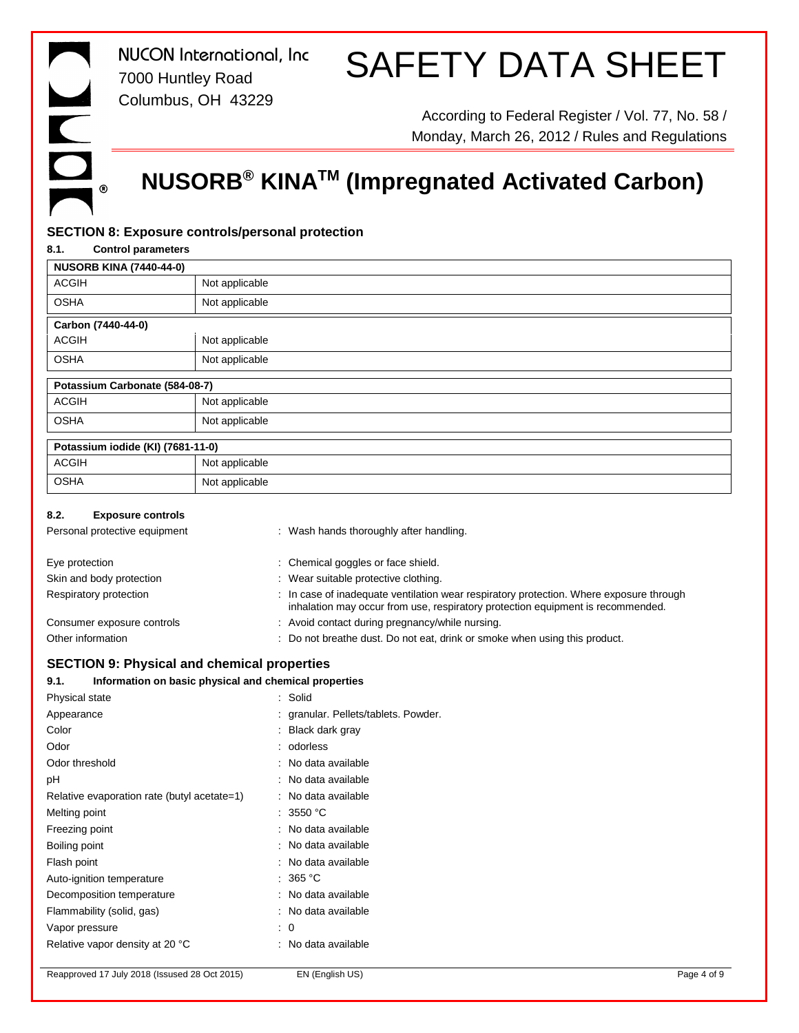### SAFETY DATA SHEET

According to Federal Register / Vol. 77, No. 58 / Monday, March 26, 2012 / Rules and Regulations

### **NUSORB® KINATM (Impregnated Activated Carbon)**

### **SECTION 8: Exposure controls/personal protection**

| 8.1.<br><b>Control parameters</b>                             |                  |                                                                                                                                                                            |
|---------------------------------------------------------------|------------------|----------------------------------------------------------------------------------------------------------------------------------------------------------------------------|
| <b>NUSORB KINA (7440-44-0)</b>                                |                  |                                                                                                                                                                            |
| <b>ACGIH</b>                                                  | Not applicable   |                                                                                                                                                                            |
| <b>OSHA</b>                                                   | Not applicable   |                                                                                                                                                                            |
| Carbon (7440-44-0)                                            |                  |                                                                                                                                                                            |
| <b>ACGIH</b>                                                  | Not applicable   |                                                                                                                                                                            |
| <b>OSHA</b>                                                   | Not applicable   |                                                                                                                                                                            |
| Potassium Carbonate (584-08-7)                                |                  |                                                                                                                                                                            |
| <b>ACGIH</b>                                                  | Not applicable   |                                                                                                                                                                            |
| <b>OSHA</b>                                                   | Not applicable   |                                                                                                                                                                            |
| Potassium iodide (KI) (7681-11-0)                             |                  |                                                                                                                                                                            |
| <b>ACGIH</b>                                                  | Not applicable   |                                                                                                                                                                            |
| <b>OSHA</b>                                                   | Not applicable   |                                                                                                                                                                            |
| 8.2.<br><b>Exposure controls</b>                              |                  |                                                                                                                                                                            |
| Personal protective equipment                                 |                  | : Wash hands thoroughly after handling.                                                                                                                                    |
|                                                               |                  |                                                                                                                                                                            |
| Eye protection                                                |                  | Chemical goggles or face shield.                                                                                                                                           |
| Skin and body protection                                      |                  | : Wear suitable protective clothing.                                                                                                                                       |
| Respiratory protection                                        |                  | : In case of inadequate ventilation wear respiratory protection. Where exposure through<br>inhalation may occur from use, respiratory protection equipment is recommended. |
| Consumer exposure controls                                    |                  | : Avoid contact during pregnancy/while nursing.                                                                                                                            |
| Other information                                             |                  | : Do not breathe dust. Do not eat, drink or smoke when using this product.                                                                                                 |
| <b>SECTION 9: Physical and chemical properties</b>            |                  |                                                                                                                                                                            |
| Information on basic physical and chemical properties<br>9.1. |                  |                                                                                                                                                                            |
| Physical state                                                |                  | Solid                                                                                                                                                                      |
| Appearance                                                    |                  | granular. Pellets/tablets. Powder.                                                                                                                                         |
| Color                                                         |                  | Black dark gray                                                                                                                                                            |
| Odor                                                          |                  | odorless                                                                                                                                                                   |
| Odor threshold                                                |                  | No data available                                                                                                                                                          |
| рH                                                            |                  | No data available                                                                                                                                                          |
| Relative evaporation rate (butyl acetate=1)                   |                  | : No data available                                                                                                                                                        |
| Melting point                                                 |                  | : 3550 °C                                                                                                                                                                  |
| Freezing point                                                |                  | No data available                                                                                                                                                          |
| Boiling point                                                 |                  | No data available                                                                                                                                                          |
| Flash point                                                   |                  | No data available                                                                                                                                                          |
| Auto-ignition temperature                                     |                  | 365 °C                                                                                                                                                                     |
| Decomposition temperature                                     |                  | No data available                                                                                                                                                          |
| Flammability (solid, gas)                                     |                  | No data available                                                                                                                                                          |
| Vapor pressure                                                | $\mathbf 0$<br>t |                                                                                                                                                                            |
| Relative vapor density at 20 °C                               |                  | No data available                                                                                                                                                          |
|                                                               |                  |                                                                                                                                                                            |

Reapproved 17 July 2018 (Issused 28 Oct 2015) EN (English US) **EN EXECUTE:** Page 4 of 9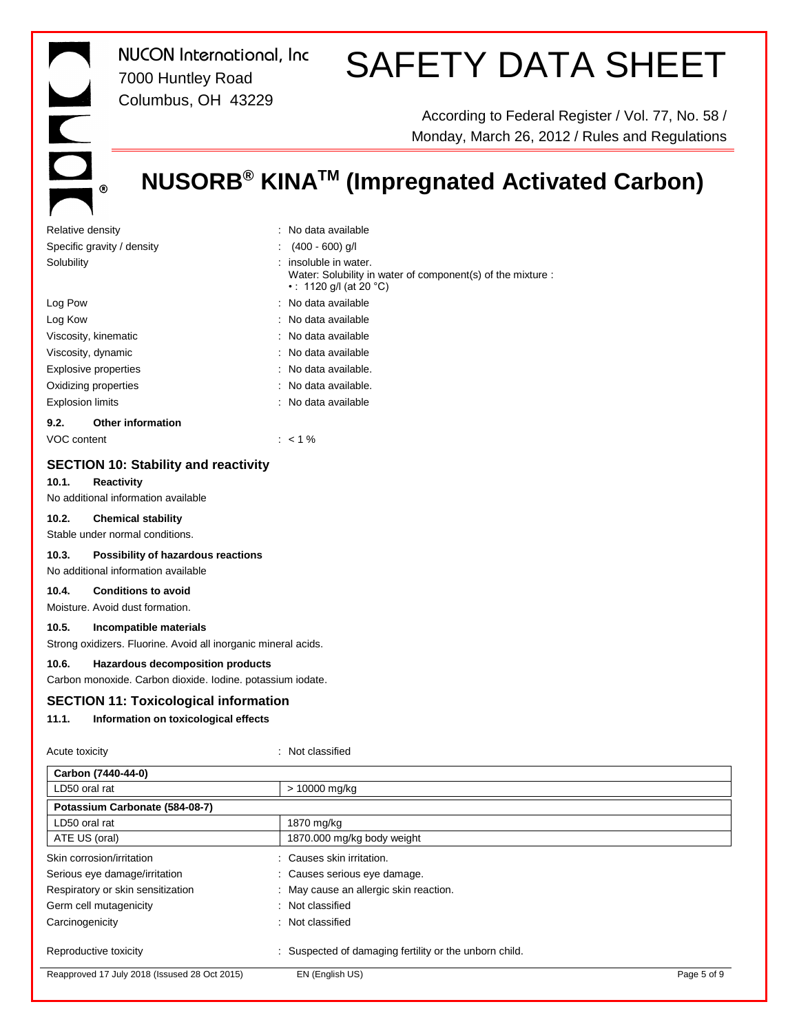## DO  $^\circledR$

*NUCON International, Inc* 7000 Huntley Road Columbus, OH 43229

### SAFETY DATA SHEET

According to Federal Register / Vol. 77, No. 58 / Monday, March 26, 2012 / Rules and Regulations

### **NUSORB® KINATM (Impregnated Activated Carbon)**

| Relative density                 | : No data available                                                                                          |
|----------------------------------|--------------------------------------------------------------------------------------------------------------|
| Specific gravity / density       | $(400 - 600)$ g/l                                                                                            |
| Solubility                       | insoluble in water.<br>Water: Solubility in water of component(s) of the mixture :<br>•: 1120 g/l (at 20 °C) |
| Log Pow                          | : No data available                                                                                          |
| Log Kow                          | : No data available                                                                                          |
| Viscosity, kinematic             | : No data available                                                                                          |
| Viscosity, dynamic               | : No data available                                                                                          |
| Explosive properties             | : No data available.                                                                                         |
| Oxidizing properties             | $\therefore$ No data available.                                                                              |
| <b>Explosion limits</b>          | : No data available                                                                                          |
| <b>Other information</b><br>9.2. |                                                                                                              |
|                                  |                                                                                                              |

VOC content : < 1 %

### **SECTION 10: Stability and reactivity**

#### **10.1. Reactivity**

No additional information available

### **10.2. Chemical stability**

Stable under normal conditions.

#### **10.3. Possibility of hazardous reactions**

No additional information available

### **10.4. Conditions to avoid**

Moisture. Avoid dust formation.

### **10.5. Incompatible materials**

Strong oxidizers. Fluorine. Avoid all inorganic mineral acids.

### **10.6. Hazardous decomposition products**

Carbon monoxide. Carbon dioxide. Iodine. potassium iodate.

### **SECTION 11: Toxicological information**

#### **11.1. Information on toxicological effects**

Acute toxicity in the contract of the contract of the contract of the contract of the contract of the contract of the contract of the contract of the contract of the contract of the contract of the contract of the contract

| Carbon (7440-44-0)                            |                                                        |             |
|-----------------------------------------------|--------------------------------------------------------|-------------|
| LD50 oral rat                                 | > 10000 mg/kg                                          |             |
| Potassium Carbonate (584-08-7)                |                                                        |             |
| LD50 oral rat                                 | 1870 mg/kg                                             |             |
| ATE US (oral)                                 | 1870.000 mg/kg body weight                             |             |
| Skin corrosion/irritation                     | : Causes skin irritation.                              |             |
| Serious eye damage/irritation                 | : Causes serious eye damage.                           |             |
| Respiratory or skin sensitization             | : May cause an allergic skin reaction.                 |             |
| Germ cell mutagenicity                        | : Not classified                                       |             |
| Carcinogenicity                               | : Not classified                                       |             |
| Reproductive toxicity                         | : Suspected of damaging fertility or the unborn child. |             |
| Reapproved 17 July 2018 (Issused 28 Oct 2015) | EN (English US)                                        | Page 5 of 9 |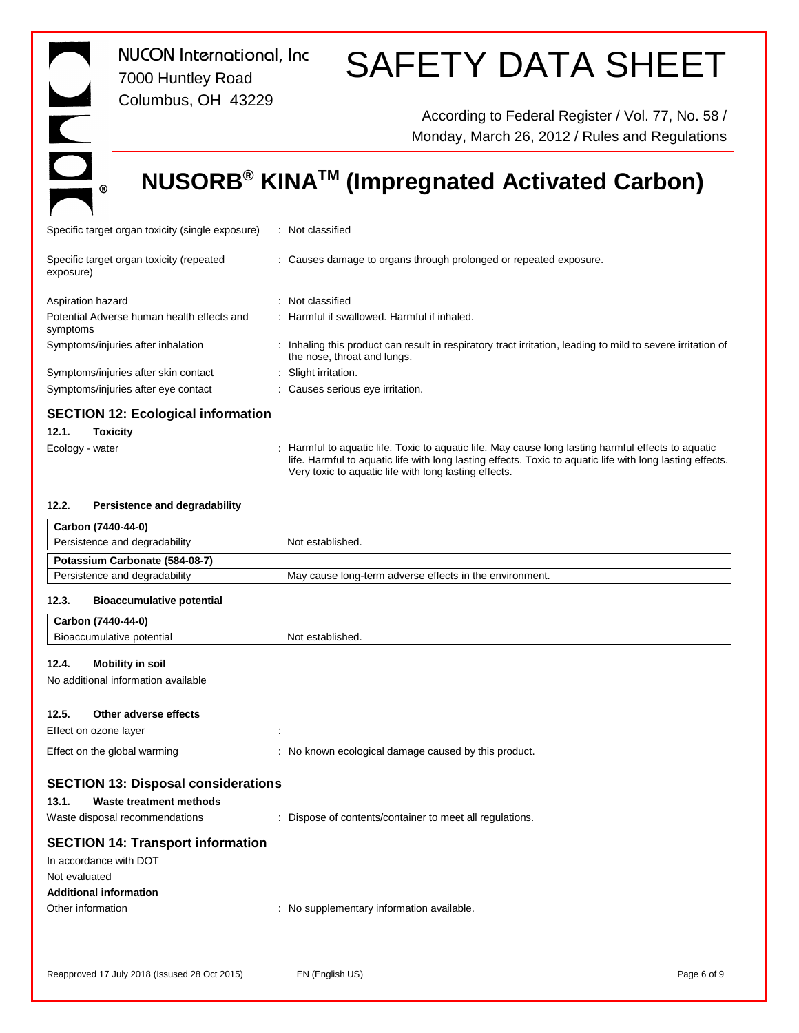### $\overline{ }$ DOL  $^\circledR$

*NUCON International, Inc* 7000 Huntley Road Columbus, OH 43229

### SAFETY DATA SHEET

According to Federal Register / Vol. 77, No. 58 / Monday, March 26, 2012 / Rules and Regulations

### **NUSORB® KINATM (Impregnated Activated Carbon)**

| Specific target organ toxicity (single exposure)                     | : Not classified                                                                                                                         |
|----------------------------------------------------------------------|------------------------------------------------------------------------------------------------------------------------------------------|
| Specific target organ toxicity (repeated<br>exposure)                | : Causes damage to organs through prolonged or repeated exposure.                                                                        |
| Aspiration hazard                                                    | : Not classified                                                                                                                         |
| Potential Adverse human health effects and<br>symptoms               | : Harmful if swallowed. Harmful if inhaled.                                                                                              |
| Symptoms/injuries after inhalation                                   | Inhaling this product can result in respiratory tract irritation, leading to mild to severe irritation of<br>the nose, throat and lungs. |
| Symptoms/injuries after skin contact                                 | : Slight irritation.                                                                                                                     |
| Symptoms/injuries after eye contact                                  | : Causes serious eye irritation.                                                                                                         |
| <b>SECTION 12: Ecological information</b><br><b>Taviaity</b><br>12 1 |                                                                                                                                          |

### **12.1. Toxicity**

Ecology - water **inter the Cology - water** in the state of the manneum of the manneum of the Harmful effects to aquatic life. Toxic to aquatic life. May cause long lasting harmful effects to aquatic life. Harmful to aquatic life with long lasting effects. Toxic to aquatic life with long lasting effects. Very toxic to aquatic life with long lasting effects.

#### **12.2. Persistence and degradability**

| Carbon (7440-44-0)             |                                                         |  |
|--------------------------------|---------------------------------------------------------|--|
| Persistence and degradability  | Not established.                                        |  |
| Potassium Carbonate (584-08-7) |                                                         |  |
| Persistence and degradability  | May cause long-term adverse effects in the environment. |  |

### **12.3. Bioaccumulative potential**

| Not established.                                         |
|----------------------------------------------------------|
|                                                          |
|                                                          |
|                                                          |
| ÷                                                        |
| : No known ecological damage caused by this product.     |
| <b>SECTION 13: Disposal considerations</b>               |
|                                                          |
| : Dispose of contents/container to meet all regulations. |
|                                                          |
|                                                          |
|                                                          |
|                                                          |
| : No supplementary information available.                |
|                                                          |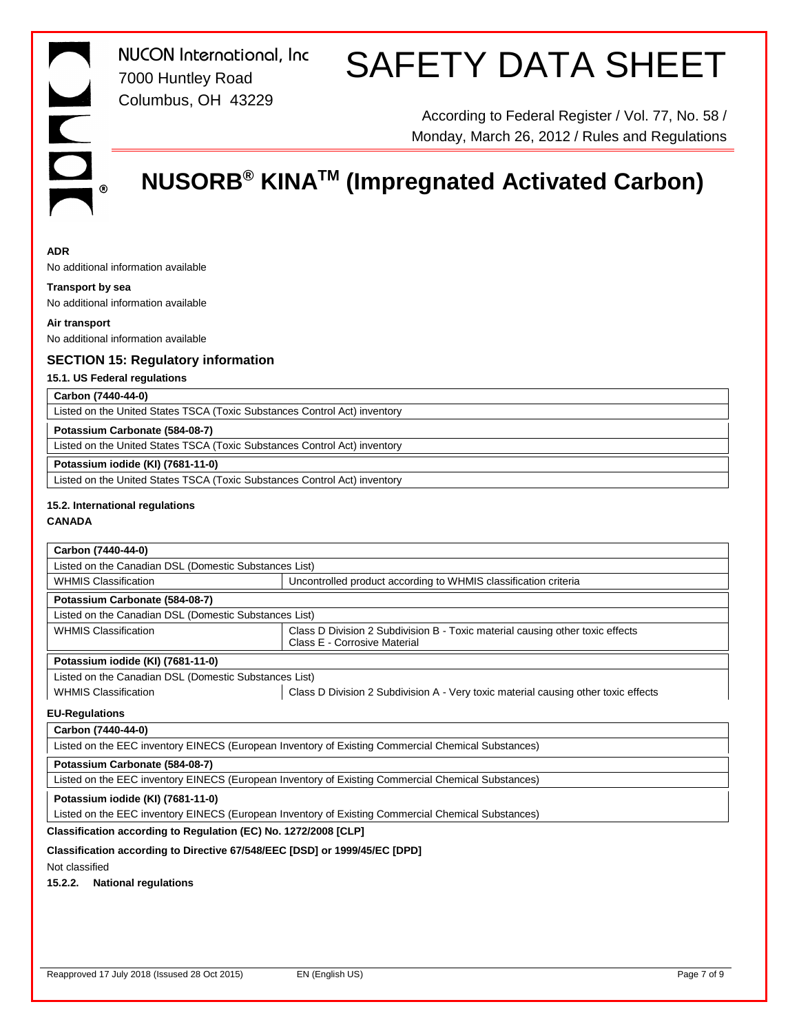### SAFETY DATA SHEET

According to Federal Register / Vol. 77, No. 58 / Monday, March 26, 2012 / Rules and Regulations

### **NUSORB® KINATM (Impregnated Activated Carbon)**

### **ADR**

No additional information available

### **Transport by sea**

No additional information available

**Air transport** No additional information available

### **SECTION 15: Regulatory information**

### **15.1. US Federal regulations**

### **Carbon (7440-44-0)**

Listed on the United States TSCA (Toxic Substances Control Act) inventory

### **Potassium Carbonate (584-08-7)**

Listed on the United States TSCA (Toxic Substances Control Act) inventory

### **Potassium iodide (KI) (7681-11-0)**

Listed on the United States TSCA (Toxic Substances Control Act) inventory

### **15.2. International regulations**

**CANADA**

### **Carbon (7440-44-0)**

| Listed on the Canadian DSL (Domestic Substances List) |                                                                                                               |  |  |
|-------------------------------------------------------|---------------------------------------------------------------------------------------------------------------|--|--|
| <b>WHMIS Classification</b>                           | Uncontrolled product according to WHMIS classification criteria                                               |  |  |
| Potassium Carbonate (584-08-7)                        |                                                                                                               |  |  |
| Listed on the Canadian DSL (Domestic Substances List) |                                                                                                               |  |  |
| <b>WHMIS Classification</b>                           | Class D Division 2 Subdivision B - Toxic material causing other toxic effects<br>Class E - Corrosive Material |  |  |
| Potassium iodide (KI) (7681-11-0)                     |                                                                                                               |  |  |
| Listed on the Canadian DSL (Domestic Substances List) |                                                                                                               |  |  |
| <b>WHMIS Classification</b>                           | Class D Division 2 Subdivision A - Very toxic material causing other toxic effects                            |  |  |

### **EU-Regulations**

### **Carbon (7440-44-0)**

| Listed on the EEC inventory EINECS (European Inventory of Existing Commercial Chemical Substances) |  |  |
|----------------------------------------------------------------------------------------------------|--|--|
|                                                                                                    |  |  |
| Potassium Carbonate (584-08-7)                                                                     |  |  |
| Listed on the EEC inventory EINECS (European Inventory of Existing Commercial Chemical Substances) |  |  |
|                                                                                                    |  |  |
|                                                                                                    |  |  |

### **Potassium iodide (KI) (7681-11-0)**

Listed on the EEC inventory EINECS (European Inventory of Existing Commercial Chemical Substances)

### **Classification according to Regulation (EC) No. 1272/2008 [CLP]**

### **Classification according to Directive 67/548/EEC [DSD] or 1999/45/EC [DPD]**

Not classified

### **15.2.2. National regulations**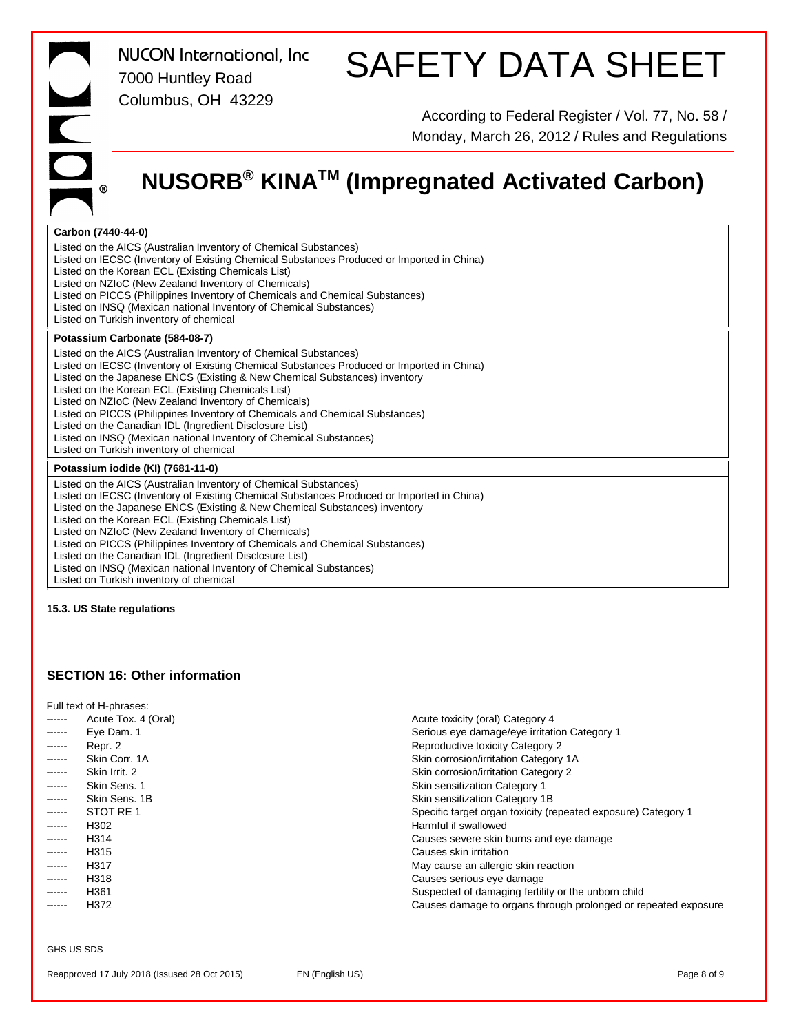### SAFETY DATA SHEET

According to Federal Register / Vol. 77, No. 58 / Monday, March 26, 2012 / Rules and Regulations

### **NUSORB® KINATM (Impregnated Activated Carbon)**

### **Carbon (7440-44-0)**

Listed on the AICS (Australian Inventory of Chemical Substances) Listed on IECSC (Inventory of Existing Chemical Substances Produced or Imported in China) Listed on the Korean ECL (Existing Chemicals List) Listed on NZIoC (New Zealand Inventory of Chemicals) Listed on PICCS (Philippines Inventory of Chemicals and Chemical Substances) Listed on INSQ (Mexican national Inventory of Chemical Substances) Listed on Turkish inventory of chemical  $\overline{\phantom{a}}$ **Potassium Carbonate (584-08-7)**

Listed on the AICS (Australian Inventory of Chemical Substances) Listed on IECSC (Inventory of Existing Chemical Substances Produced or Imported in China) Listed on the Japanese ENCS (Existing & New Chemical Substances) inventory Listed on the Korean ECL (Existing Chemicals List) Listed on NZIoC (New Zealand Inventory of Chemicals) Listed on PICCS (Philippines Inventory of Chemicals and Chemical Substances) Listed on the Canadian IDL (Ingredient Disclosure List) Listed on INSQ (Mexican national Inventory of Chemical Substances) Listed on Turkish inventory of chemical

#### **Potassium iodide (KI) (7681-11-0)**

 $\mathfrak{g}$ 

Listed on the AICS (Australian Inventory of Chemical Substances) Listed on IECSC (Inventory of Existing Chemical Substances Produced or Imported in China) Listed on the Japanese ENCS (Existing & New Chemical Substances) inventory Listed on the Korean ECL (Existing Chemicals List) Listed on NZIoC (New Zealand Inventory of Chemicals) Listed on PICCS (Philippines Inventory of Chemicals and Chemical Substances) Listed on the Canadian IDL (Ingredient Disclosure List) Listed on INSQ (Mexican national Inventory of Chemical Substances) Listed on Turkish inventory of chemical

**15.3. US State regulations**

### **SECTION 16: Other information**

| Full text of H-phrases: |                     |                                                                |  |
|-------------------------|---------------------|----------------------------------------------------------------|--|
| ------                  | Acute Tox. 4 (Oral) | Acute toxicity (oral) Category 4                               |  |
| ------                  | Eye Dam. 1          | Serious eye damage/eye irritation Category 1                   |  |
| ------                  | Repr. 2             | Reproductive toxicity Category 2                               |  |
| ------                  | Skin Corr, 1A       | Skin corrosion/irritation Category 1A                          |  |
| ------                  | Skin Irrit, 2       | Skin corrosion/irritation Category 2                           |  |
| ------                  | Skin Sens, 1        | Skin sensitization Category 1                                  |  |
| ------                  | Skin Sens, 1B       | Skin sensitization Category 1B                                 |  |
| ------                  | STOT RE 1           | Specific target organ toxicity (repeated exposure) Category 1  |  |
| ------                  | H302                | Harmful if swallowed                                           |  |
| ------                  | H314                | Causes severe skin burns and eye damage                        |  |
| ------                  | H <sub>315</sub>    | Causes skin irritation                                         |  |
| ------                  | H317                | May cause an allergic skin reaction                            |  |
| ------                  | H318                | Causes serious eye damage                                      |  |
| ------                  | H <sub>361</sub>    | Suspected of damaging fertility or the unborn child            |  |
| ------                  | H372                | Causes damage to organs through prolonged or repeated exposure |  |
|                         |                     |                                                                |  |

#### GHS US SDS